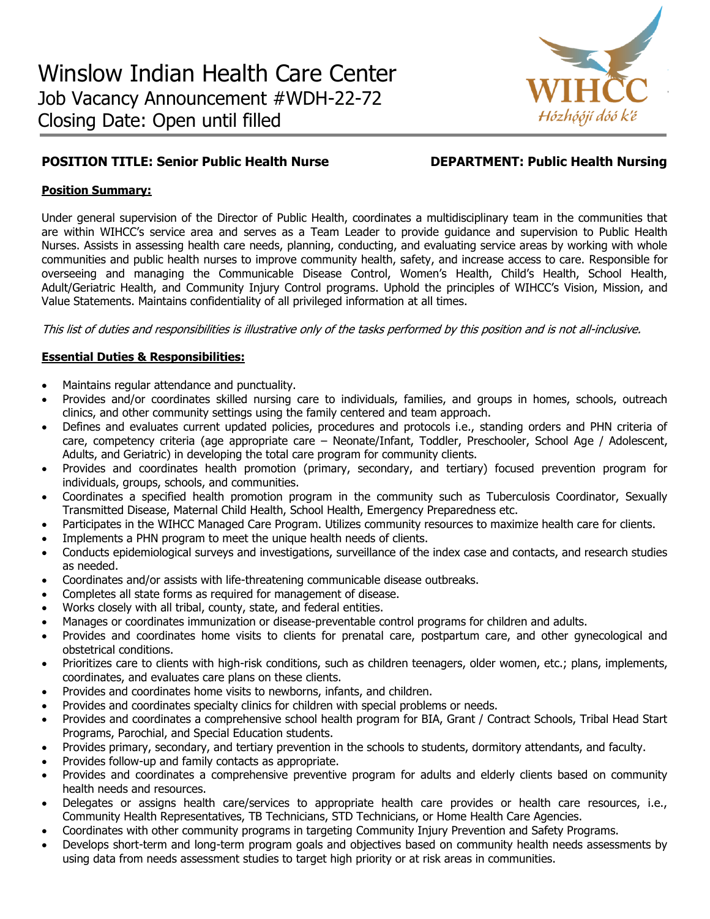

# **POSITION TITLE: Senior Public Health Nurse DEPARTMENT: Public Health Nursing**

## **Position Summary:**

Under general supervision of the Director of Public Health, coordinates a multidisciplinary team in the communities that are within WIHCC's service area and serves as a Team Leader to provide guidance and supervision to Public Health Nurses. Assists in assessing health care needs, planning, conducting, and evaluating service areas by working with whole communities and public health nurses to improve community health, safety, and increase access to care. Responsible for overseeing and managing the Communicable Disease Control, Women's Health, Child's Health, School Health, Adult/Geriatric Health, and Community Injury Control programs. Uphold the principles of WIHCC's Vision, Mission, and Value Statements. Maintains confidentiality of all privileged information at all times.

This list of duties and responsibilities is illustrative only of the tasks performed by this position and is not all-inclusive.

# **Essential Duties & Responsibilities:**

- Maintains regular attendance and punctuality.
- Provides and/or coordinates skilled nursing care to individuals, families, and groups in homes, schools, outreach clinics, and other community settings using the family centered and team approach.
- Defines and evaluates current updated policies, procedures and protocols i.e., standing orders and PHN criteria of care, competency criteria (age appropriate care – Neonate/Infant, Toddler, Preschooler, School Age / Adolescent, Adults, and Geriatric) in developing the total care program for community clients.
- Provides and coordinates health promotion (primary, secondary, and tertiary) focused prevention program for individuals, groups, schools, and communities.
- Coordinates a specified health promotion program in the community such as Tuberculosis Coordinator, Sexually Transmitted Disease, Maternal Child Health, School Health, Emergency Preparedness etc.
- Participates in the WIHCC Managed Care Program. Utilizes community resources to maximize health care for clients.
- Implements a PHN program to meet the unique health needs of clients.
- Conducts epidemiological surveys and investigations, surveillance of the index case and contacts, and research studies as needed.
- Coordinates and/or assists with life-threatening communicable disease outbreaks.
- Completes all state forms as required for management of disease.
- Works closely with all tribal, county, state, and federal entities.
- Manages or coordinates immunization or disease-preventable control programs for children and adults.
- Provides and coordinates home visits to clients for prenatal care, postpartum care, and other gynecological and obstetrical conditions.
- Prioritizes care to clients with high-risk conditions, such as children teenagers, older women, etc.; plans, implements, coordinates, and evaluates care plans on these clients.
- Provides and coordinates home visits to newborns, infants, and children.
- Provides and coordinates specialty clinics for children with special problems or needs.
- Provides and coordinates a comprehensive school health program for BIA, Grant / Contract Schools, Tribal Head Start Programs, Parochial, and Special Education students.
- Provides primary, secondary, and tertiary prevention in the schools to students, dormitory attendants, and faculty.
- Provides follow-up and family contacts as appropriate.
- Provides and coordinates a comprehensive preventive program for adults and elderly clients based on community health needs and resources.
- Delegates or assigns health care/services to appropriate health care provides or health care resources, i.e., Community Health Representatives, TB Technicians, STD Technicians, or Home Health Care Agencies.
- Coordinates with other community programs in targeting Community Injury Prevention and Safety Programs.
- Develops short-term and long-term program goals and objectives based on community health needs assessments by using data from needs assessment studies to target high priority or at risk areas in communities.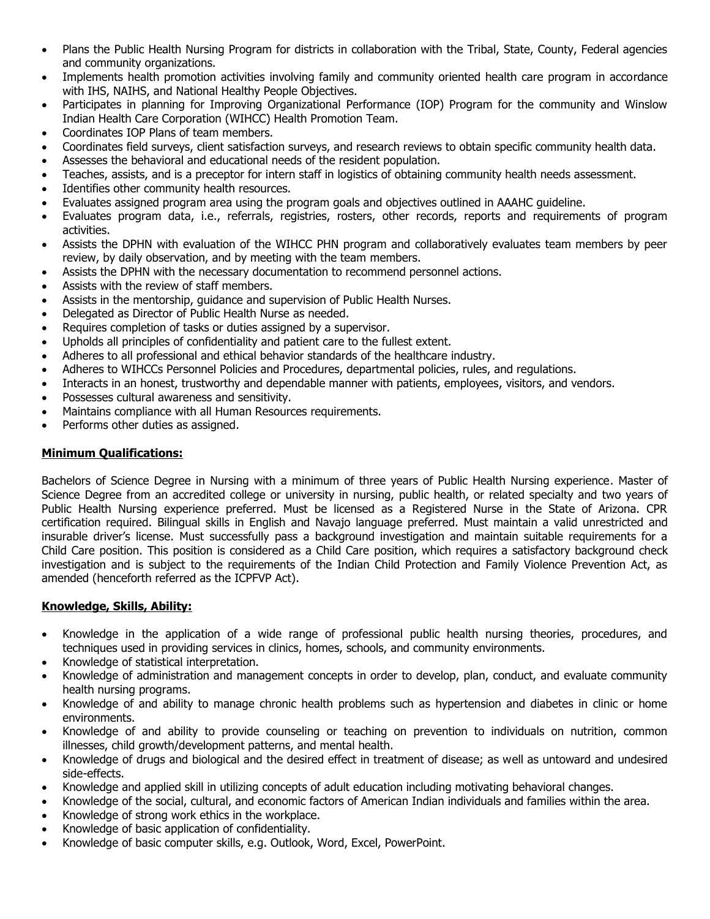- Plans the Public Health Nursing Program for districts in collaboration with the Tribal, State, County, Federal agencies and community organizations.
- Implements health promotion activities involving family and community oriented health care program in accordance with IHS, NAIHS, and National Healthy People Objectives.
- Participates in planning for Improving Organizational Performance (IOP) Program for the community and Winslow Indian Health Care Corporation (WIHCC) Health Promotion Team.
- Coordinates IOP Plans of team members.
- Coordinates field surveys, client satisfaction surveys, and research reviews to obtain specific community health data.
- Assesses the behavioral and educational needs of the resident population.
- Teaches, assists, and is a preceptor for intern staff in logistics of obtaining community health needs assessment.
- Identifies other community health resources.
- Evaluates assigned program area using the program goals and objectives outlined in AAAHC guideline.
- Evaluates program data, i.e., referrals, registries, rosters, other records, reports and requirements of program activities.
- Assists the DPHN with evaluation of the WIHCC PHN program and collaboratively evaluates team members by peer review, by daily observation, and by meeting with the team members.
- Assists the DPHN with the necessary documentation to recommend personnel actions.
- Assists with the review of staff members.
- Assists in the mentorship, guidance and supervision of Public Health Nurses.
- Delegated as Director of Public Health Nurse as needed.
- Requires completion of tasks or duties assigned by a supervisor.
- Upholds all principles of confidentiality and patient care to the fullest extent.
- Adheres to all professional and ethical behavior standards of the healthcare industry.
- Adheres to WIHCCs Personnel Policies and Procedures, departmental policies, rules, and regulations.
- Interacts in an honest, trustworthy and dependable manner with patients, employees, visitors, and vendors.
- Possesses cultural awareness and sensitivity.
- Maintains compliance with all Human Resources requirements.
- Performs other duties as assigned.

## **Minimum Qualifications:**

Bachelors of Science Degree in Nursing with a minimum of three years of Public Health Nursing experience. Master of Science Degree from an accredited college or university in nursing, public health, or related specialty and two years of Public Health Nursing experience preferred. Must be licensed as a Registered Nurse in the State of Arizona. CPR certification required. Bilingual skills in English and Navajo language preferred. Must maintain a valid unrestricted and insurable driver's license. Must successfully pass a background investigation and maintain suitable requirements for a Child Care position. This position is considered as a Child Care position, which requires a satisfactory background check investigation and is subject to the requirements of the Indian Child Protection and Family Violence Prevention Act, as amended (henceforth referred as the ICPFVP Act).

#### **Knowledge, Skills, Ability:**

- Knowledge in the application of a wide range of professional public health nursing theories, procedures, and techniques used in providing services in clinics, homes, schools, and community environments.
- Knowledge of statistical interpretation.
- Knowledge of administration and management concepts in order to develop, plan, conduct, and evaluate community health nursing programs.
- Knowledge of and ability to manage chronic health problems such as hypertension and diabetes in clinic or home environments.
- Knowledge of and ability to provide counseling or teaching on prevention to individuals on nutrition, common illnesses, child growth/development patterns, and mental health.
- Knowledge of drugs and biological and the desired effect in treatment of disease; as well as untoward and undesired side-effects.
- Knowledge and applied skill in utilizing concepts of adult education including motivating behavioral changes.
- Knowledge of the social, cultural, and economic factors of American Indian individuals and families within the area.
- Knowledge of strong work ethics in the workplace.
- Knowledge of basic application of confidentiality.
- Knowledge of basic computer skills, e.g. Outlook, Word, Excel, PowerPoint.